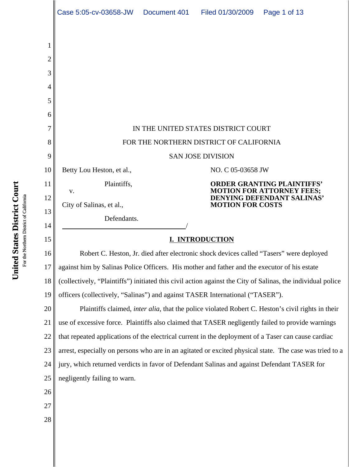|                                                              | Case 5:05-cv-03658-JW                                                                                       | Document 401 | Filed 01/30/2009                                                                                                                | Page 1 of 13                                                                                               |  |
|--------------------------------------------------------------|-------------------------------------------------------------------------------------------------------------|--------------|---------------------------------------------------------------------------------------------------------------------------------|------------------------------------------------------------------------------------------------------------|--|
| 1<br>$\overline{2}$<br>3<br>4<br>5<br>6<br>7<br>8<br>9<br>10 | Betty Lou Heston, et al.,                                                                                   |              | IN THE UNITED STATES DISTRICT COURT<br>FOR THE NORTHERN DISTRICT OF CALIFORNIA<br><b>SAN JOSE DIVISION</b><br>NO. C 05-03658 JW |                                                                                                            |  |
|                                                              | Plaintiffs,                                                                                                 |              |                                                                                                                                 |                                                                                                            |  |
| 11<br>12                                                     | V.                                                                                                          |              |                                                                                                                                 | <b>ORDER GRANTING PLAINTIFFS'</b><br><b>MOTION FOR ATTORNEY FEES;</b><br><b>DENYING DEFENDANT SALINAS'</b> |  |
| 13                                                           | City of Salinas, et al.,                                                                                    |              | <b>MOTION FOR COSTS</b>                                                                                                         |                                                                                                            |  |
| 14                                                           | Defendants.                                                                                                 |              |                                                                                                                                 |                                                                                                            |  |
| 15                                                           | I. INTRODUCTION                                                                                             |              |                                                                                                                                 |                                                                                                            |  |
| 16                                                           | Robert C. Heston, Jr. died after electronic shock devices called "Tasers" were deployed                     |              |                                                                                                                                 |                                                                                                            |  |
| 17                                                           | against him by Salinas Police Officers. His mother and father and the executor of his estate                |              |                                                                                                                                 |                                                                                                            |  |
| 18                                                           | (collectively, "Plaintiffs") initiated this civil action against the City of Salinas, the individual police |              |                                                                                                                                 |                                                                                                            |  |
| 19                                                           | officers (collectively, "Salinas") and against TASER International ("TASER").                               |              |                                                                                                                                 |                                                                                                            |  |
| 20                                                           | Plaintiffs claimed, <i>inter alia</i> , that the police violated Robert C. Heston's civil rights in their   |              |                                                                                                                                 |                                                                                                            |  |
| 21                                                           | use of excessive force. Plaintiffs also claimed that TASER negligently failed to provide warnings           |              |                                                                                                                                 |                                                                                                            |  |
| 22                                                           | that repeated applications of the electrical current in the deployment of a Taser can cause cardiac         |              |                                                                                                                                 |                                                                                                            |  |
| 23                                                           | arrest, especially on persons who are in an agitated or excited physical state. The case was tried to a     |              |                                                                                                                                 |                                                                                                            |  |
| 24                                                           | jury, which returned verdicts in favor of Defendant Salinas and against Defendant TASER for                 |              |                                                                                                                                 |                                                                                                            |  |
| 25                                                           | negligently failing to warn.                                                                                |              |                                                                                                                                 |                                                                                                            |  |
| 26                                                           |                                                                                                             |              |                                                                                                                                 |                                                                                                            |  |
| 27                                                           |                                                                                                             |              |                                                                                                                                 |                                                                                                            |  |
| 28                                                           |                                                                                                             |              |                                                                                                                                 |                                                                                                            |  |
|                                                              |                                                                                                             |              |                                                                                                                                 |                                                                                                            |  |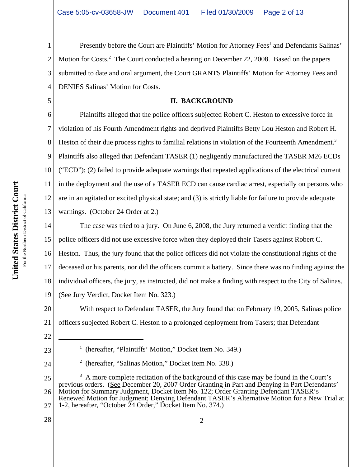1 2 3 4 Presently before the Court are Plaintiffs' Motion for Attorney Fees<sup>1</sup> and Defendants Salinas' Motion for Costs.<sup>2</sup> The Court conducted a hearing on December 22, 2008. Based on the papers submitted to date and oral argument, the Court GRANTS Plaintiffs' Motion for Attorney Fees and DENIES Salinas' Motion for Costs.

#### **II. BACKGROUND**

6 7 8 9 10 11 12 13 Plaintiffs alleged that the police officers subjected Robert C. Heston to excessive force in violation of his Fourth Amendment rights and deprived Plaintiffs Betty Lou Heston and Robert H. Heston of their due process rights to familial relations in violation of the Fourteenth Amendment.<sup>3</sup> Plaintiffs also alleged that Defendant TASER (1) negligently manufactured the TASER M26 ECDs ("ECD"); (2) failed to provide adequate warnings that repeated applications of the electrical current in the deployment and the use of a TASER ECD can cause cardiac arrest, especially on persons who are in an agitated or excited physical state; and (3) is strictly liable for failure to provide adequate warnings. (October 24 Order at 2.)

14 15 16 17 18 19 The case was tried to a jury. On June 6, 2008, the Jury returned a verdict finding that the police officers did not use excessive force when they deployed their Tasers against Robert C. Heston. Thus, the jury found that the police officers did not violate the constitutional rights of the deceased or his parents, nor did the officers commit a battery. Since there was no finding against the individual officers, the jury, as instructed, did not make a finding with respect to the City of Salinas. (See Jury Verdict, Docket Item No. 323.)

20 21 With respect to Defendant TASER, the Jury found that on February 19, 2005, Salinas police officers subjected Robert C. Heston to a prolonged deployment from Tasers; that Defendant

22

5

- 23 24
- <sup>1</sup> (hereafter, "Plaintiffs' Motion," Docket Item No. 349.)
- 2 (hereafter, "Salinas Motion," Docket Item No. 338.)

25 26 27 <sup>3</sup> A more complete recitation of the background of this case may be found in the Court's previous orders. (See December 20, 2007 Order Granting in Part and Denying in Part Defendants' Motion for Summary Judgment, Docket Item No. 122; Order Granting Defendant TASER's Renewed Motion for Judgment; Denying Defendant TASER's Alternative Motion for a New Trial at 1-2, hereafter, "October 24 Order," Docket Item No. 374.)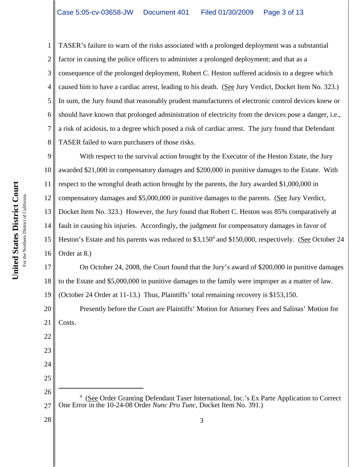TASER's failure to warn of the risks associated with a prolonged deployment was a substantial factor in causing the police officers to administer a prolonged deployment; and that as a consequence of the prolonged deployment, Robert C. Heston suffered acidosis to a degree which caused him to have a cardiac arrest, leading to his death. (See Jury Verdict, Docket Item No. 323.) In sum, the Jury found that reasonably prudent manufacturers of electronic control devices knew or should have known that prolonged administration of electricity from the devices pose a danger, i.e., a risk of acidosis, to a degree which posed a risk of cardiac arrest. The jury found that Defendant TASER failed to warn purchasers of those risks.

9 10 11 12 13 14 15 16 With respect to the survival action brought by the Executor of the Heston Estate, the Jury awarded \$21,000 in compensatory damages and \$200,000 in punitive damages to the Estate. With respect to the wrongful death action brought by the parents, the Jury awarded \$1,000,000 in compensatory damages and \$5,000,000 in punitive damages to the parents. (See Jury Verdict, Docket Item No. 323.) However, the Jury found that Robert C. Heston was 85% comparatively at fault in causing his injuries. Accordingly, the judgment for compensatory damages in favor of Heston's Estate and his parents was reduced to \$3,150<sup>4</sup> and \$150,000, respectively. (See October 24 Order at 8.)

17 18 19 On October 24, 2008, the Court found that the Jury's award of \$200,000 in punitive damages to the Estate and \$5,000,000 in punitive damages to the family were improper as a matter of law. (October 24 Order at 11-13.) Thus, Plaintiffs' total remaining recovery is \$153,150.

20 21 Presently before the Court are Plaintiffs' Motion for Attorney Fees and Salinas' Motion for Costs.

26 27 <sup>4</sup> (See Order Granting Defendant Taser International, Inc.'s Ex Parte Application to Correct One Error in the 10-24-08 Order *Nunc Pro Tunc*, Docket Item No. 391.)

3

28

22

23

24

25

1

2

3

4

5

6

7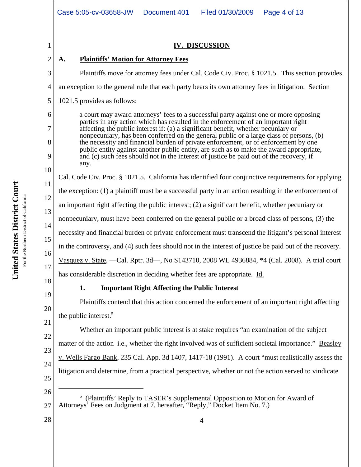|                | Case 5:05-cv-03658-JW<br>Document 401<br>Filed 01/30/2009<br>Page 4 of 13                                                                                                                                                                                                                                                                                 |  |  |  |  |
|----------------|-----------------------------------------------------------------------------------------------------------------------------------------------------------------------------------------------------------------------------------------------------------------------------------------------------------------------------------------------------------|--|--|--|--|
| 1              | <b>IV. DISCUSSION</b>                                                                                                                                                                                                                                                                                                                                     |  |  |  |  |
| $\overline{2}$ | <b>Plaintiffs' Motion for Attorney Fees</b><br>A.                                                                                                                                                                                                                                                                                                         |  |  |  |  |
| 3              | Plaintiffs move for attorney fees under Cal. Code Civ. Proc. § 1021.5. This section provides                                                                                                                                                                                                                                                              |  |  |  |  |
| 4              | an exception to the general rule that each party bears its own attorney fees in litigation. Section                                                                                                                                                                                                                                                       |  |  |  |  |
| 5              | 1021.5 provides as follows:                                                                                                                                                                                                                                                                                                                               |  |  |  |  |
| 6              | a court may award attorneys' fees to a successful party against one or more opposing<br>parties in any action which has resulted in the enforcement of an important right<br>affecting the public interest if: (a) a significant benefit, whether pecuniary or<br>nonpecuniary, has been conferred on the general public or a large class of persons, (b) |  |  |  |  |
| 7              |                                                                                                                                                                                                                                                                                                                                                           |  |  |  |  |
| 8              | the necessity and financial burden of private enforcement, or of enforcement by one<br>public entity against another public entity, are such as to make the award appropriate,<br>and (c) such fees should not in the interest of justice be paid out of the recovery, if<br>any.                                                                         |  |  |  |  |
| 9              |                                                                                                                                                                                                                                                                                                                                                           |  |  |  |  |
| 10             | Cal. Code Civ. Proc. § 1021.5. California has identified four conjunctive requirements for applying                                                                                                                                                                                                                                                       |  |  |  |  |
| 11             | the exception: (1) a plaintiff must be a successful party in an action resulting in the enforcement of                                                                                                                                                                                                                                                    |  |  |  |  |
| 12             | an important right affecting the public interest; $(2)$ a significant benefit, whether pecuniary or                                                                                                                                                                                                                                                       |  |  |  |  |
| 13             | nonpecuniary, must have been conferred on the general public or a broad class of persons, (3) the                                                                                                                                                                                                                                                         |  |  |  |  |
| 14             | necessity and financial burden of private enforcement must transcend the litigant's personal interest<br>in the controversy, and (4) such fees should not in the interest of justice be paid out of the recovery.                                                                                                                                         |  |  |  |  |
| 15             |                                                                                                                                                                                                                                                                                                                                                           |  |  |  |  |
| 16             | Vasquez v. State, - Cal. Rptr. 3d-, No S143710, 2008 WL 4936884, *4 (Cal. 2008). A trial court                                                                                                                                                                                                                                                            |  |  |  |  |
| 17             | has considerable discretion in deciding whether fees are appropriate. Id.                                                                                                                                                                                                                                                                                 |  |  |  |  |
| 18             | <b>Important Right Affecting the Public Interest</b><br>1.                                                                                                                                                                                                                                                                                                |  |  |  |  |
| 19             | Plaintiffs contend that this action concerned the enforcement of an important right affecting                                                                                                                                                                                                                                                             |  |  |  |  |
| 20<br>21       | the public interest. <sup>5</sup>                                                                                                                                                                                                                                                                                                                         |  |  |  |  |
| 22             | Whether an important public interest is at stake requires "an examination of the subject                                                                                                                                                                                                                                                                  |  |  |  |  |
| 23             | matter of the action-i.e., whether the right involved was of sufficient societal importance." Beasley                                                                                                                                                                                                                                                     |  |  |  |  |
| 24             | v. Wells Fargo Bank, 235 Cal. App. 3d 1407, 1417-18 (1991). A court "must realistically assess the                                                                                                                                                                                                                                                        |  |  |  |  |
| 25             | litigation and determine, from a practical perspective, whether or not the action served to vindicate                                                                                                                                                                                                                                                     |  |  |  |  |
| 26             |                                                                                                                                                                                                                                                                                                                                                           |  |  |  |  |
| 27             | 5<br>(Plaintiffs' Reply to TASER's Supplemental Opposition to Motion for Award of<br>Attorneys' Fees on Judgment at 7, hereafter, "Reply," Docket Item No. 7.)                                                                                                                                                                                            |  |  |  |  |
| 28             | 4                                                                                                                                                                                                                                                                                                                                                         |  |  |  |  |
|                |                                                                                                                                                                                                                                                                                                                                                           |  |  |  |  |

United States District Court **United States District Court** For the Northern District of California For the Northern District of California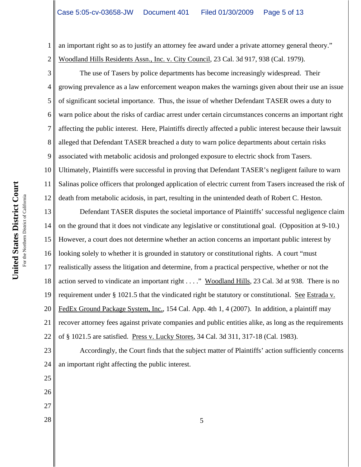1 2 an important right so as to justify an attorney fee award under a private attorney general theory." Woodland Hills Residents Assn., Inc. v. City Council, 23 Cal. 3d 917, 938 (Cal. 1979).

3 4 5 6 7 8 9 10 11 The use of Tasers by police departments has become increasingly widespread. Their growing prevalence as a law enforcement weapon makes the warnings given about their use an issue of significant societal importance. Thus, the issue of whether Defendant TASER owes a duty to warn police about the risks of cardiac arrest under certain circumstances concerns an important right affecting the public interest. Here, Plaintiffs directly affected a public interest because their lawsuit alleged that Defendant TASER breached a duty to warn police departments about certain risks associated with metabolic acidosis and prolonged exposure to electric shock from Tasers. Ultimately, Plaintiffs were successful in proving that Defendant TASER's negligent failure to warn Salinas police officers that prolonged application of electric current from Tasers increased the risk of

13 14 15 16 17 18 19 20 21 22 Defendant TASER disputes the societal importance of Plaintiffs' successful negligence claim on the ground that it does not vindicate any legislative or constitutional goal. (Opposition at 9-10.) However, a court does not determine whether an action concerns an important public interest by looking solely to whether it is grounded in statutory or constitutional rights. A court "must realistically assess the litigation and determine, from a practical perspective, whether or not the action served to vindicate an important right . . . ." Woodland Hills, 23 Cal. 3d at 938. There is no requirement under § 1021.5 that the vindicated right be statutory or constitutional. See Estrada v. FedEx Ground Package System, Inc., 154 Cal. App. 4th 1, 4 (2007). In addition, a plaintiff may recover attorney fees against private companies and public entities alike, as long as the requirements of § 1021.5 are satisfied. Press v. Lucky Stores, 34 Cal. 3d 311, 317-18 (Cal. 1983).

death from metabolic acidosis, in part, resulting in the unintended death of Robert C. Heston.

23 24 Accordingly, the Court finds that the subject matter of Plaintiffs' action sufficiently concerns an important right affecting the public interest.

- 25
- 26
- 27
- 

12

 $\begin{array}{c|c}\n 28 & \multicolumn{1}{c|}{5}\n \end{array}$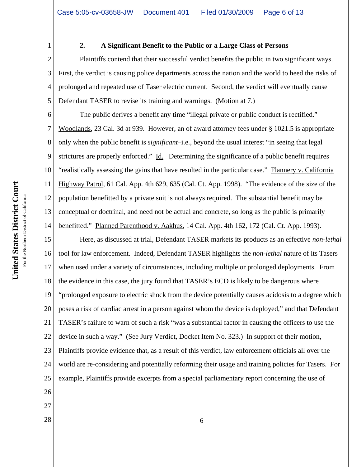1

2

3

4

5

#### **2. A Significant Benefit to the Public or a Large Class of Persons**

Plaintiffs contend that their successful verdict benefits the public in two significant ways. First, the verdict is causing police departments across the nation and the world to heed the risks of prolonged and repeated use of Taser electric current. Second, the verdict will eventually cause Defendant TASER to revise its training and warnings. (Motion at 7.)

6 7 8 9 10 11 12 13 14 The public derives a benefit any time "illegal private or public conduct is rectified." Woodlands, 23 Cal. 3d at 939. However, an of award attorney fees under § 1021.5 is appropriate only when the public benefit is *significant*–i.e., beyond the usual interest "in seeing that legal strictures are properly enforced." Id. Determining the significance of a public benefit requires "realistically assessing the gains that have resulted in the particular case." Flannery v. California Highway Patrol, 61 Cal. App. 4th 629, 635 (Cal. Ct. App. 1998). "The evidence of the size of the population benefitted by a private suit is not always required. The substantial benefit may be conceptual or doctrinal, and need not be actual and concrete, so long as the public is primarily benefitted." Planned Parenthood v. Aakhus, 14 Cal. App. 4th 162, 172 (Cal. Ct. App. 1993).

15 16 17 18 19 20 21 22 23 24 25 Here, as discussed at trial, Defendant TASER markets its products as an effective *non-lethal* tool for law enforcement. Indeed, Defendant TASER highlights the *non-lethal* nature of its Tasers when used under a variety of circumstances, including multiple or prolonged deployments. From the evidence in this case, the jury found that TASER's ECD is likely to be dangerous where "prolonged exposure to electric shock from the device potentially causes acidosis to a degree which poses a risk of cardiac arrest in a person against whom the device is deployed," and that Defendant TASER's failure to warn of such a risk "was a substantial factor in causing the officers to use the device in such a way." (See Jury Verdict, Docket Item No. 323.) In support of their motion, Plaintiffs provide evidence that, as a result of this verdict, law enforcement officials all over the world are re-considering and potentially reforming their usage and training policies for Tasers. For example, Plaintiffs provide excerpts from a special parliamentary report concerning the use of

- 26
- 27
- $\begin{array}{c|c}\n 28 & \rightarrow \end{array}$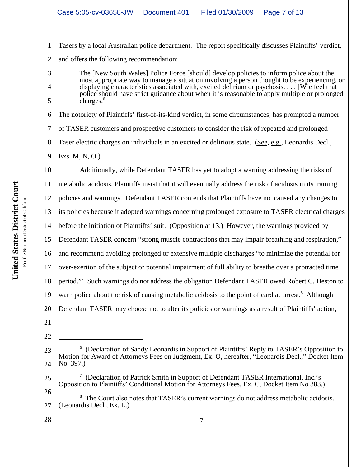1 2 Tasers by a local Australian police department. The report specifically discusses Plaintiffs' verdict, and offers the following recommendation:

The [New South Wales] Police Force [should] develop policies to inform police about the most appropriate way to manage a situation involving a person thought to be experiencing, or displaying characteristics associated with, excited delirium or psychosis. . . . [W]e feel that police should have strict guidance about when it is reasonable to apply multiple or prolonged charges.<sup>6</sup>

6 7 8 9 The notoriety of Plaintiffs' first-of-its-kind verdict, in some circumstances, has prompted a number of TASER customers and prospective customers to consider the risk of repeated and prolonged Taser electric charges on individuals in an excited or delirious state. (See, e.g., Leonardis Decl., Exs. M, N, O.)

10 11 12 13 14 15 16 17 18 19 20 21 22 Additionally, while Defendant TASER has yet to adopt a warning addressing the risks of metabolic acidosis, Plaintiffs insist that it will eventually address the risk of acidosis in its training policies and warnings. Defendant TASER contends that Plaintiffs have not caused any changes to its policies because it adopted warnings concerning prolonged exposure to TASER electrical charges before the initiation of Plaintiffs' suit. (Opposition at 13.) However, the warnings provided by Defendant TASER concern "strong muscle contractions that may impair breathing and respiration," and recommend avoiding prolonged or extensive multiple discharges "to minimize the potential for over-exertion of the subject or potential impairment of full ability to breathe over a protracted time period."<sup>7</sup> Such warnings do not address the obligation Defendant TASER owed Robert C. Heston to warn police about the risk of causing metabolic acidosis to the point of cardiac arrest.<sup>8</sup> Although Defendant TASER may choose not to alter its policies or warnings as a result of Plaintiffs' action,

25 <sup>7</sup> (Declaration of Patrick Smith in Support of Defendant TASER International, Inc.'s Opposition to Plaintiffs' Conditional Motion for Attorneys Fees, Ex. C, Docket Item No 383.)

28

3

4

<sup>23</sup> 24 <sup>6</sup> (Declaration of Sandy Leonardis in Support of Plaintiffs' Reply to TASER's Opposition to Motion for Award of Attorneys Fees on Judgment, Ex. O, hereafter, "Leonardis Decl.," Docket Item No. 397.)

<sup>26</sup> 27 <sup>8</sup> The Court also notes that TASER's current warnings do not address metabolic acidosis. (Leonardis Decl., Ex. L.)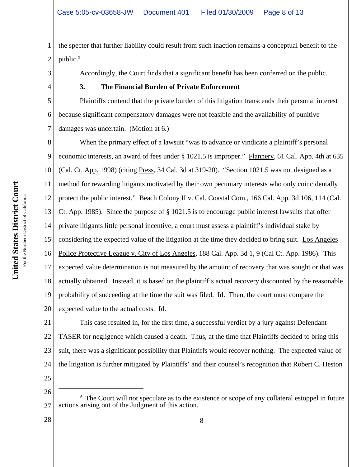1 2 the specter that further liability could result from such inaction remains a conceptual benefit to the public.<sup>9</sup>

Accordingly, the Court finds that a significant benefit has been conferred on the public.

## **3. The Financial Burden of Private Enforcement**

5 6 Plaintiffs contend that the private burden of this litigation transcends their personal interest because significant compensatory damages were not feasible and the availability of punitive damages was uncertain. (Motion at 6.)

8 9 10 11 12 13 14 15 16 17 18 19 20 When the primary effect of a lawsuit "was to advance or vindicate a plaintiff's personal economic interests, an award of fees under § 1021.5 is improper." Flannery, 61 Cal. App. 4th at 635 (Cal. Ct. App. 1998) (citing Press, 34 Cal. 3d at 319-20). "Section 1021.5 was not designed as a method for rewarding litigants motivated by their own pecuniary interests who only coincidentally protect the public interest." Beach Colony II v. Cal. Coastal Com., 166 Cal. App. 3d 106, 114 (Cal. Ct. App. 1985). Since the purpose of § 1021.5 is to encourage public interest lawsuits that offer private litigants little personal incentive, a court must assess a plaintiff's individual stake by considering the expected value of the litigation at the time they decided to bring suit. Los Angeles Police Protective League v. City of Los Angeles, 188 Cal. App. 3d 1, 9 (Cal Ct. App. 1986). This expected value determination is not measured by the amount of recovery that was sought or that was actually obtained. Instead, it is based on the plaintiff's actual recovery discounted by the reasonable probability of succeeding at the time the suit was filed. Id. Then, the court must compare the expected value to the actual costs. Id.

21 22 23 24 This case resulted in, for the first time, a successful verdict by a jury against Defendant TASER for negligence which caused a death. Thus, at the time that Plaintiffs decided to bring this suit, there was a significant possibility that Plaintiffs would recover nothing. The expected value of the litigation is further mitigated by Plaintiffs' and their counsel's recognition that Robert C. Heston

25

For the Northern District of California For the Northern District of California 3

4

7

**United States District Court**

United States District Court

<sup>26</sup> 27 <sup>9</sup> The Court will not speculate as to the existence or scope of any collateral estoppel in future actions arising out of the Judgment of this action.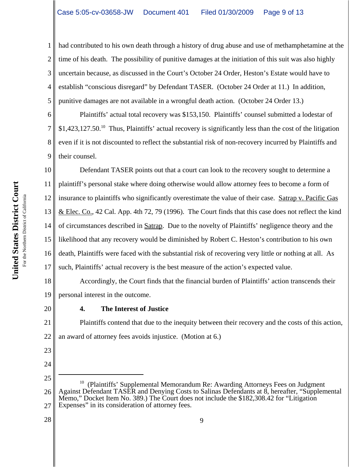1 2 3 4 5 had contributed to his own death through a history of drug abuse and use of methamphetamine at the time of his death. The possibility of punitive damages at the initiation of this suit was also highly uncertain because, as discussed in the Court's October 24 Order, Heston's Estate would have to establish "conscious disregard" by Defendant TASER. (October 24 Order at 11.) In addition, punitive damages are not available in a wrongful death action. (October 24 Order 13.)

6 7 8 9 Plaintiffs' actual total recovery was \$153,150. Plaintiffs' counsel submitted a lodestar of  $$1,423,127.50<sup>10</sup>$  Thus, Plaintiffs' actual recovery is significantly less than the cost of the litigation even if it is not discounted to reflect the substantial risk of non-recovery incurred by Plaintiffs and their counsel.

10 11 12 13 14 15 16 17 Defendant TASER points out that a court can look to the recovery sought to determine a plaintiff's personal stake where doing otherwise would allow attorney fees to become a form of insurance to plaintiffs who significantly overestimate the value of their case. Satrap v. Pacific Gas & Elec. Co., 42 Cal. App. 4th 72, 79 (1996). The Court finds that this case does not reflect the kind of circumstances described in Satrap. Due to the novelty of Plaintiffs' negligence theory and the likelihood that any recovery would be diminished by Robert C. Heston's contribution to his own death, Plaintiffs were faced with the substantial risk of recovering very little or nothing at all. As such, Plaintiffs' actual recovery is the best measure of the action's expected value.

18 19 Accordingly, the Court finds that the financial burden of Plaintiffs' action transcends their personal interest in the outcome.

20

23

24

#### **4. The Interest of Justice**

21 22 Plaintiffs contend that due to the inequity between their recovery and the costs of this action, an award of attorney fees avoids injustice. (Motion at 6.)

United States District Court **United States District Court** For the Northern District of California For the Northern District of California

<sup>25</sup> 26 27  $10$  (Plaintiffs' Supplemental Memorandum Re: Awarding Attorneys Fees on Judgment Against Defendant TASER and Denying Costs to Salinas Defendants at 8, hereafter, "Supplemental Memo," Docket Item No. 389.) The Court does not include the \$182,308.42 for "Litigation" Expenses" in its consideration of attorney fees.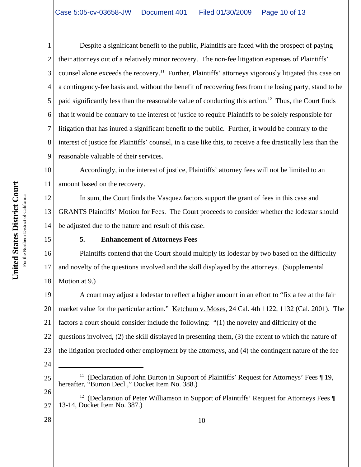2 3 4 5 6 7 8 9 Despite a significant benefit to the public, Plaintiffs are faced with the prospect of paying their attorneys out of a relatively minor recovery. The non-fee litigation expenses of Plaintiffs' counsel alone exceeds the recovery.<sup>11</sup> Further, Plaintiffs' attorneys vigorously litigated this case on a contingency-fee basis and, without the benefit of recovering fees from the losing party, stand to be paid significantly less than the reasonable value of conducting this action.12 Thus, the Court finds that it would be contrary to the interest of justice to require Plaintiffs to be solely responsible for litigation that has inured a significant benefit to the public. Further, it would be contrary to the interest of justice for Plaintiffs' counsel, in a case like this, to receive a fee drastically less than the reasonable valuable of their services.

10 11 Accordingly, in the interest of justice, Plaintiffs' attorney fees will not be limited to an amount based on the recovery.

12 13 14 In sum, the Court finds the Vasquez factors support the grant of fees in this case and GRANTS Plaintiffs' Motion for Fees. The Court proceeds to consider whether the lodestar should be adjusted due to the nature and result of this case.

15

1

#### **5. Enhancement of Attorneys Fees**

16 17 18 Plaintiffs contend that the Court should multiply its lodestar by two based on the difficulty and novelty of the questions involved and the skill displayed by the attorneys. (Supplemental Motion at 9.)

19 20 21 22 23 A court may adjust a lodestar to reflect a higher amount in an effort to "fix a fee at the fair market value for the particular action." Ketchum v. Moses, 24 Cal. 4th 1122, 1132 (Cal. 2001). The factors a court should consider include the following: "(1) the novelty and difficulty of the questions involved, (2) the skill displayed in presenting them, (3) the extent to which the nature of the litigation precluded other employment by the attorneys, and (4) the contingent nature of the fee

24

<sup>&</sup>lt;sup>11</sup> (Declaration of John Burton in Support of Plaintiffs' Request for Attorneys' Fees  $\P$  19, hereafter, "Burton Decl.," Docket Item No. 388.)

<sup>26</sup> 27 <sup>12</sup> (Declaration of Peter Williamson in Support of Plaintiffs' Request for Attorneys Fees  $\P$ 13-14, Docket Item No. 387.)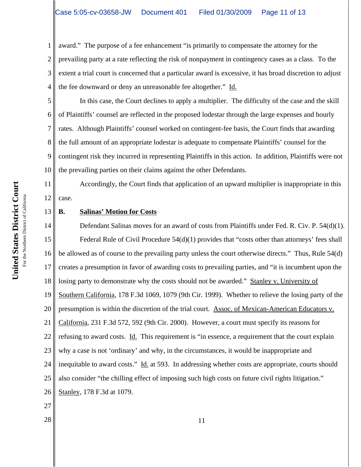1 2 3 4 award." The purpose of a fee enhancement "is primarily to compensate the attorney for the prevailing party at a rate reflecting the risk of nonpayment in contingency cases as a class. To the extent a trial court is concerned that a particular award is excessive, it has broad discretion to adjust the fee downward or deny an unreasonable fee altogether." Id.

5 6 7 8 9 10 In this case, the Court declines to apply a multiplier. The difficulty of the case and the skill of Plaintiffs' counsel are reflected in the proposed lodestar through the large expenses and hourly rates. Although Plaintiffs' counsel worked on contingent-fee basis, the Court finds that awarding the full amount of an appropriate lodestar is adequate to compensate Plaintiffs' counsel for the contingent risk they incurred in representing Plaintiffs in this action. In addition, Plaintiffs were not the prevailing parties on their claims against the other Defendants.

12 Accordingly, the Court finds that application of an upward multiplier is inappropriate in this case.

#### **B. Salinas' Motion for Costs**

14 15 16 17 18 19 20 21 22 23 24 25 26 Defendant Salinas moves for an award of costs from Plaintiffs under Fed. R. Civ. P. 54(d)(1). Federal Rule of Civil Procedure 54(d)(1) provides that "costs other than attorneys' fees shall be allowed as of course to the prevailing party unless the court otherwise directs." Thus, Rule 54(d) creates a presumption in favor of awarding costs to prevailing parties, and "it is incumbent upon the losing party to demonstrate why the costs should not be awarded." Stanley v. University of Southern California, 178 F.3d 1069, 1079 (9th Cir. 1999). Whether to relieve the losing party of the presumption is within the discretion of the trial court. Assoc. of Mexican-American Educators v. California, 231 F.3d 572, 592 (9th Cir. 2000). However, a court must specify its reasons for refusing to award costs. Id. This requirement is "in essence, a requirement that the court explain why a case is not 'ordinary' and why, in the circumstances, it would be inappropriate and inequitable to award costs." Id. at 593. In addressing whether costs are appropriate, courts should also consider "the chilling effect of imposing such high costs on future civil rights litigation." Stanley, 178 F.3d at 1079.

- 27
- $\begin{array}{c|c|c|c|c} \hline 28 & 11 \end{array}$

11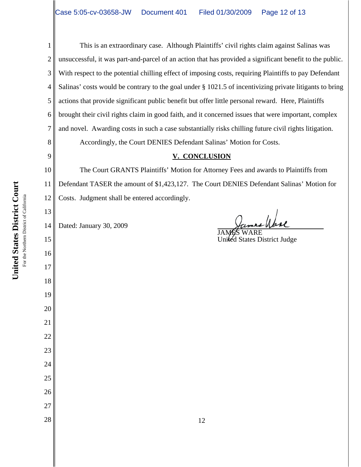United States District Court **United States District Court** For the Northern District of California For the Northern District of California 9

13

15

16

17

18

19

20

21

22

23

24

25

26

27

1 2 3 4 5 6 7 8 This is an extraordinary case. Although Plaintiffs' civil rights claim against Salinas was unsuccessful, it was part-and-parcel of an action that has provided a significant benefit to the public. With respect to the potential chilling effect of imposing costs, requiring Plaintiffs to pay Defendant Salinas' costs would be contrary to the goal under § 1021.5 of incentivizing private litigants to bring actions that provide significant public benefit but offer little personal reward. Here, Plaintiffs brought their civil rights claim in good faith, and it concerned issues that were important, complex and novel. Awarding costs in such a case substantially risks chilling future civil rights litigation. Accordingly, the Court DENIES Defendant Salinas' Motion for Costs.

### **V. CONCLUSION**

10 11 12 The Court GRANTS Plaintiffs' Motion for Attorney Fees and awards to Plaintiffs from Defendant TASER the amount of \$1,423,127. The Court DENIES Defendant Salinas' Motion for Costs. Judgment shall be entered accordingly.

14 Dated: January 30, 2009

James Wase JAMÉS WARE United States District Judge